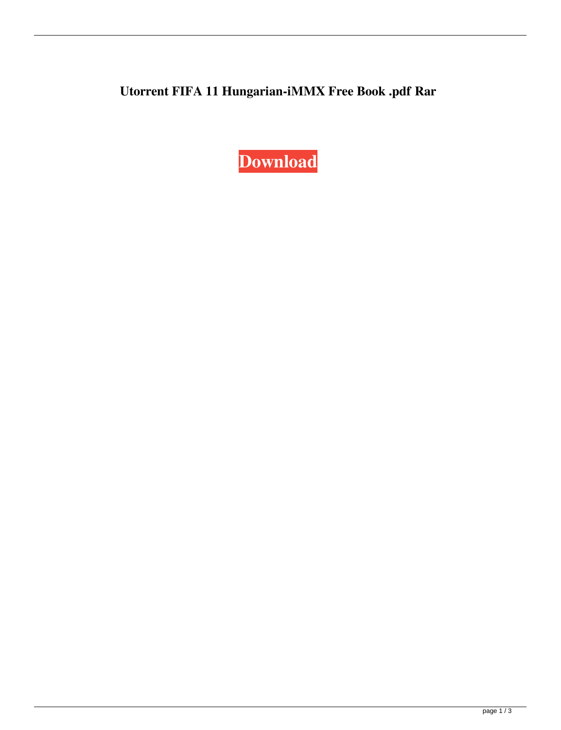**Utorrent FIFA 11 Hungarian-iMMX Free Book .pdf Rar**

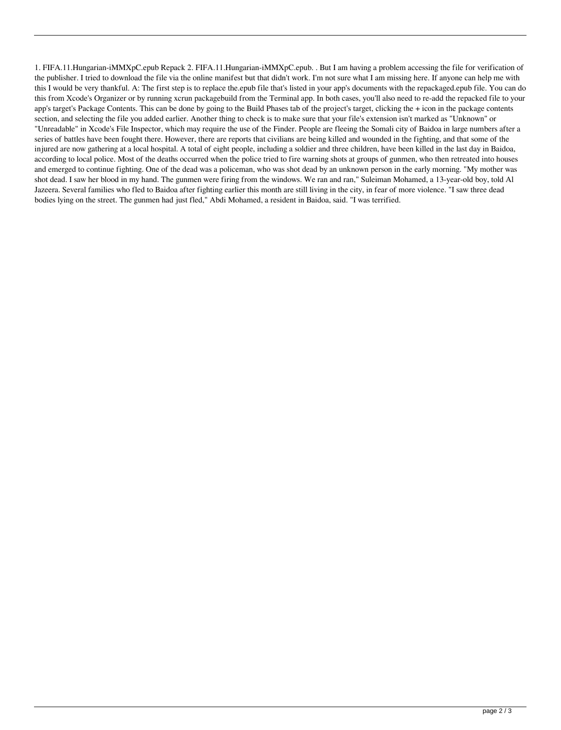1. FIFA.11.Hungarian-iMMXpC.epub Repack 2. FIFA.11.Hungarian-iMMXpC.epub. . But I am having a problem accessing the file for verification of the publisher. I tried to download the file via the online manifest but that didn't work. I'm not sure what I am missing here. If anyone can help me with this I would be very thankful. A: The first step is to replace the.epub file that's listed in your app's documents with the repackaged.epub file. You can do this from Xcode's Organizer or by running xcrun packagebuild from the Terminal app. In both cases, you'll also need to re-add the repacked file to your app's target's Package Contents. This can be done by going to the Build Phases tab of the project's target, clicking the + icon in the package contents section, and selecting the file you added earlier. Another thing to check is to make sure that your file's extension isn't marked as "Unknown" or "Unreadable" in Xcode's File Inspector, which may require the use of the Finder. People are fleeing the Somali city of Baidoa in large numbers after a series of battles have been fought there. However, there are reports that civilians are being killed and wounded in the fighting, and that some of the injured are now gathering at a local hospital. A total of eight people, including a soldier and three children, have been killed in the last day in Baidoa, according to local police. Most of the deaths occurred when the police tried to fire warning shots at groups of gunmen, who then retreated into houses and emerged to continue fighting. One of the dead was a policeman, who was shot dead by an unknown person in the early morning. "My mother was shot dead. I saw her blood in my hand. The gunmen were firing from the windows. We ran and ran," Suleiman Mohamed, a 13-year-old boy, told Al Jazeera. Several families who fled to Baidoa after fighting earlier this month are still living in the city, in fear of more violence. "I saw three dead bodies lying on the street. The gunmen had just fled," Abdi Mohamed, a resident in Baidoa, said. "I was terrified.